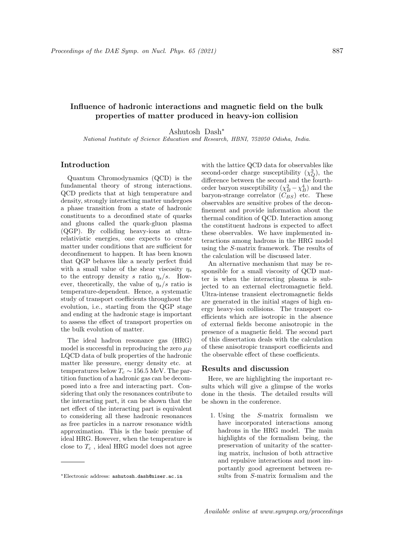# Influence of hadronic interactions and magnetic field on the bulk properties of matter produced in heavy-ion collision

Ashutosh Dash<sup>∗</sup>

National Institute of Science Education and Research, HBNI, 752050 Odisha, India.

## Introduction

Quantum Chromodynamics (QCD) is the fundamental theory of strong interactions. QCD predicts that at high temperature and density, strongly interacting matter undergoes a phase transition from a state of hadronic constituents to a deconfined state of quarks and gluons called the quark-gluon plasma (QGP). By colliding heavy-ions at ultrarelativistic energies, one expects to create matter under conditions that are sufficient for deconfinement to happen. It has been known that QGP behaves like a nearly perfect fluid with a small value of the shear viscosity  $\eta_s$ to the entropy density s ratio  $\eta_s/s$ . However, theoretically, the value of  $\eta_s/s$  ratio is temperature-dependent. Hence, a systematic study of transport coefficients throughout the evolution, i.e., starting from the QGP stage and ending at the hadronic stage is important to assess the effect of transport properties on the bulk evolution of matter.

The ideal hadron resonance gas (HRG) model is successful in reproducing the zero  $\mu_B$ LQCD data of bulk properties of the hadronic matter like pressure, energy density etc. at temperatures below  $T_c \sim 156.5$  MeV. The partition function of a hadronic gas can be decomposed into a free and interacting part. Considering that only the resonances contribute to the interacting part, it can be shown that the net effect of the interacting part is equivalent to considering all these hadronic resonances as free particles in a narrow resonance width approximation. This is the basic premise of ideal HRG. However, when the temperature is close to  $T_c$ , ideal HRG model does not agree

with the lattice QCD data for observables like second-order charge susceptibility  $(\chi_Q^2)$ , the difference between the second and the fourthorder baryon susceptibility  $(\chi_B^2 - \chi_B^4)$  and the baryon-strange correlator  $(C_{BS})$  etc. These observables are sensitive probes of the deconfinement and provide information about the thermal condition of QCD. Interaction among the constituent hadrons is expected to affect these observables. We have implemented interactions among hadrons in the HRG model using the S-matrix framework. The results of the calculation will be discussed later.

An alternative mechanism that may be responsible for a small viscosity of QCD matter is when the interacting plasma is subjected to an external electromagnetic field. Ultra-intense transient electromagnetic fields are generated in the initial stages of high energy heavy-ion collisions. The transport coefficients which are isotropic in the absence of external fields become anisotropic in the presence of a magnetic field. The second part of this dissertation deals with the calculation of these anisotropic transport coefficients and the observable effect of these coefficients.

## Results and discussion

Here, we are highlighting the important results which will give a glimpse of the works done in the thesis. The detailed results will be shown in the conference.

1. Using the S-matrix formalism we have incorporated interactions among hadrons in the HRG model. The main highlights of the formalism being, the preservation of unitarity of the scattering matrix, inclusion of both attractive and repulsive interactions and most importantly good agreement between results from S-matrix formalism and the

<sup>∗</sup>Electronic address: ashutosh.dash@niser.ac.in